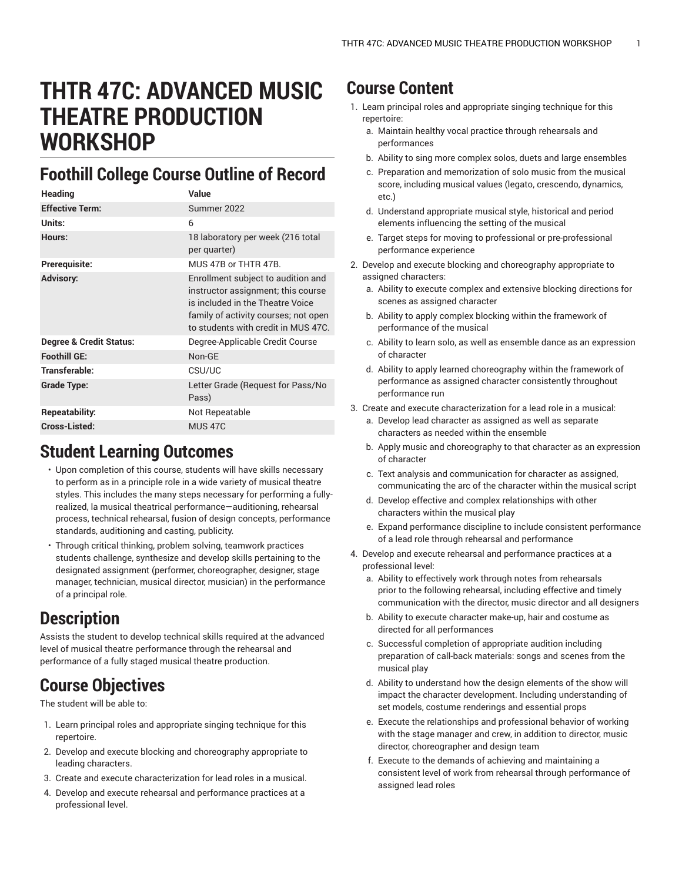# **THTR 47C: ADVANCED MUSIC THEATRE PRODUCTION WORKSHOP**

### **Foothill College Course Outline of Record**

| Heading                            | Value                                                                                                                                                                                       |
|------------------------------------|---------------------------------------------------------------------------------------------------------------------------------------------------------------------------------------------|
| <b>Effective Term:</b>             | Summer 2022                                                                                                                                                                                 |
| Units:                             | 6                                                                                                                                                                                           |
| Hours:                             | 18 laboratory per week (216 total<br>per quarter)                                                                                                                                           |
| Prerequisite:                      | MUS 47B or THTR 47B.                                                                                                                                                                        |
| <b>Advisory:</b>                   | Enrollment subject to audition and<br>instructor assignment; this course<br>is included in the Theatre Voice<br>family of activity courses; not open<br>to students with credit in MUS 47C. |
| <b>Degree &amp; Credit Status:</b> | Degree-Applicable Credit Course                                                                                                                                                             |
| <b>Foothill GE:</b>                | Non-GE                                                                                                                                                                                      |
| Transferable:                      | CSU/UC                                                                                                                                                                                      |
| Grade Type:                        | Letter Grade (Request for Pass/No<br>Pass)                                                                                                                                                  |
| Repeatability:                     | Not Repeatable                                                                                                                                                                              |
| Cross-Listed:                      | <b>MUS 47C</b>                                                                                                                                                                              |

#### **Student Learning Outcomes**

- Upon completion of this course, students will have skills necessary to perform as in a principle role in a wide variety of musical theatre styles. This includes the many steps necessary for performing a fullyrealized, la musical theatrical performance—auditioning, rehearsal process, technical rehearsal, fusion of design concepts, performance standards, auditioning and casting, publicity.
- Through critical thinking, problem solving, teamwork practices students challenge, synthesize and develop skills pertaining to the designated assignment (performer, choreographer, designer, stage manager, technician, musical director, musician) in the performance of a principal role.

## **Description**

Assists the student to develop technical skills required at the advanced level of musical theatre performance through the rehearsal and performance of a fully staged musical theatre production.

## **Course Objectives**

The student will be able to:

- 1. Learn principal roles and appropriate singing technique for this repertoire.
- 2. Develop and execute blocking and choreography appropriate to leading characters.
- 3. Create and execute characterization for lead roles in a musical.
- 4. Develop and execute rehearsal and performance practices at a professional level.

### **Course Content**

- 1. Learn principal roles and appropriate singing technique for this repertoire:
	- a. Maintain healthy vocal practice through rehearsals and performances
	- b. Ability to sing more complex solos, duets and large ensembles
	- c. Preparation and memorization of solo music from the musical score, including musical values (legato, crescendo, dynamics, etc.)
	- d. Understand appropriate musical style, historical and period elements influencing the setting of the musical
	- e. Target steps for moving to professional or pre-professional performance experience
- 2. Develop and execute blocking and choreography appropriate to assigned characters:
	- a. Ability to execute complex and extensive blocking directions for scenes as assigned character
	- b. Ability to apply complex blocking within the framework of performance of the musical
	- c. Ability to learn solo, as well as ensemble dance as an expression of character
	- d. Ability to apply learned choreography within the framework of performance as assigned character consistently throughout performance run
- 3. Create and execute characterization for a lead role in a musical:
	- a. Develop lead character as assigned as well as separate characters as needed within the ensemble
	- b. Apply music and choreography to that character as an expression of character
	- c. Text analysis and communication for character as assigned, communicating the arc of the character within the musical script
	- d. Develop effective and complex relationships with other characters within the musical play
	- e. Expand performance discipline to include consistent performance of a lead role through rehearsal and performance
- 4. Develop and execute rehearsal and performance practices at a professional level:
	- a. Ability to effectively work through notes from rehearsals prior to the following rehearsal, including effective and timely communication with the director, music director and all designers
	- b. Ability to execute character make-up, hair and costume as directed for all performances
	- c. Successful completion of appropriate audition including preparation of call-back materials: songs and scenes from the musical play
	- d. Ability to understand how the design elements of the show will impact the character development. Including understanding of set models, costume renderings and essential props
	- e. Execute the relationships and professional behavior of working with the stage manager and crew, in addition to director, music director, choreographer and design team
	- f. Execute to the demands of achieving and maintaining a consistent level of work from rehearsal through performance of assigned lead roles